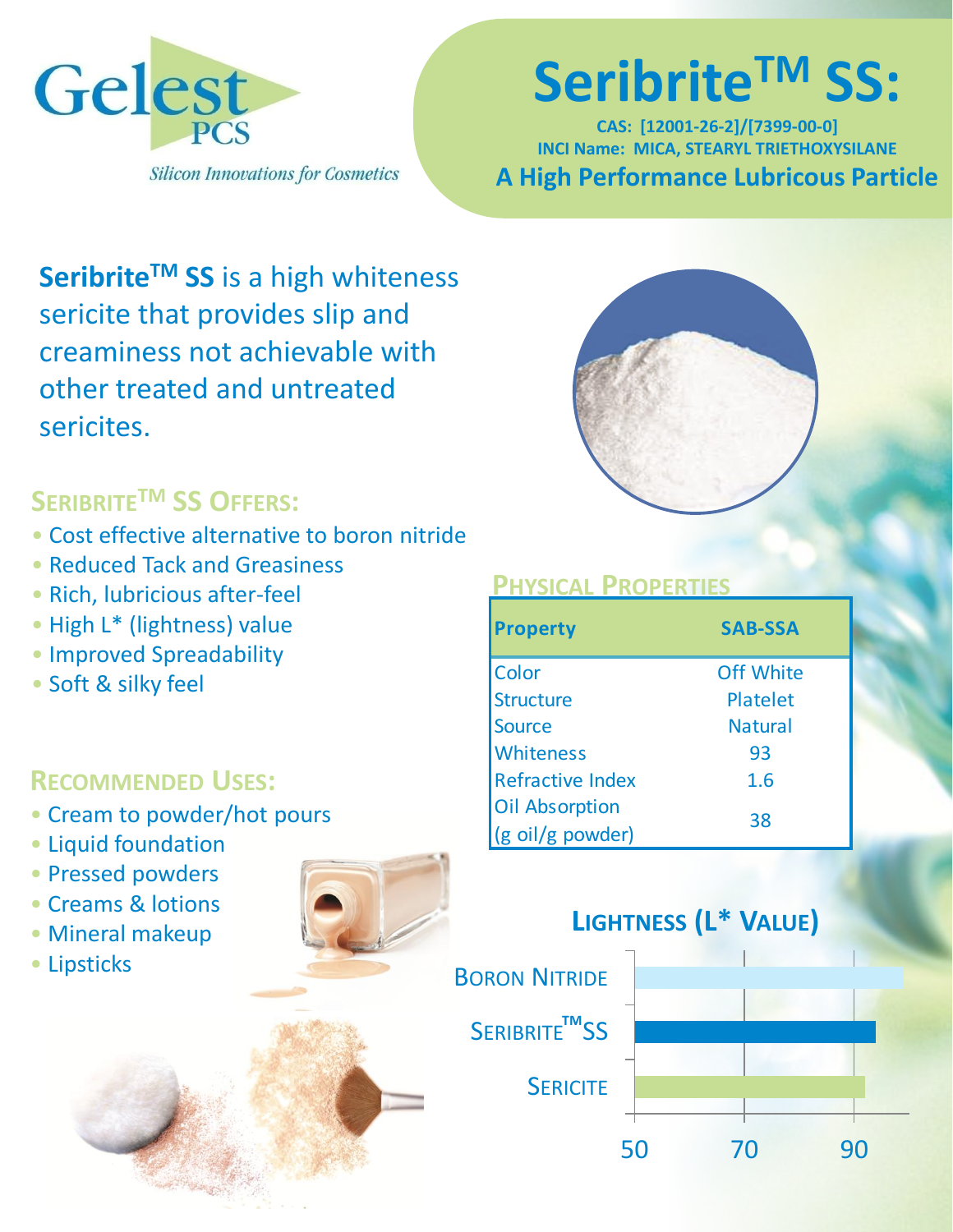

# **SeribriteTM SS:**

**CAS: [12001-26-2]/[7399-00-0] INCI Name: MICA, STEARYL TRIETHOXYSILANE A High Performance Lubricous Particle**

**SeribriteTM SS** is a high whiteness sericite that provides slip and creaminess not achievable with other treated and untreated sericites.

## **SERIBRITETM SS OFFERS:**

- Cost effective alternative to boron nitride
- Reduced Tack and Greasiness
- Rich, lubricious after-feel
- High L\* (lightness) value
- Improved Spreadability
- Soft & silky feel

### **RECOMMENDED USES:**

- Cream to powder/hot pours
- Liquid foundation
- Pressed powders
- Creams & lotions
- Mineral makeup
- Lipsticks





| <b>Property</b>         | <b>SAB-SSA</b>   |
|-------------------------|------------------|
| Color                   | <b>Off White</b> |
| <b>Structure</b>        | Platelet         |
| <b>Source</b>           | <b>Natural</b>   |
| Whiteness               | 93               |
| <b>Refractive Index</b> | 1.6              |
| <b>Oil Absorption</b>   | 38               |
| (g oil/g powder)        |                  |